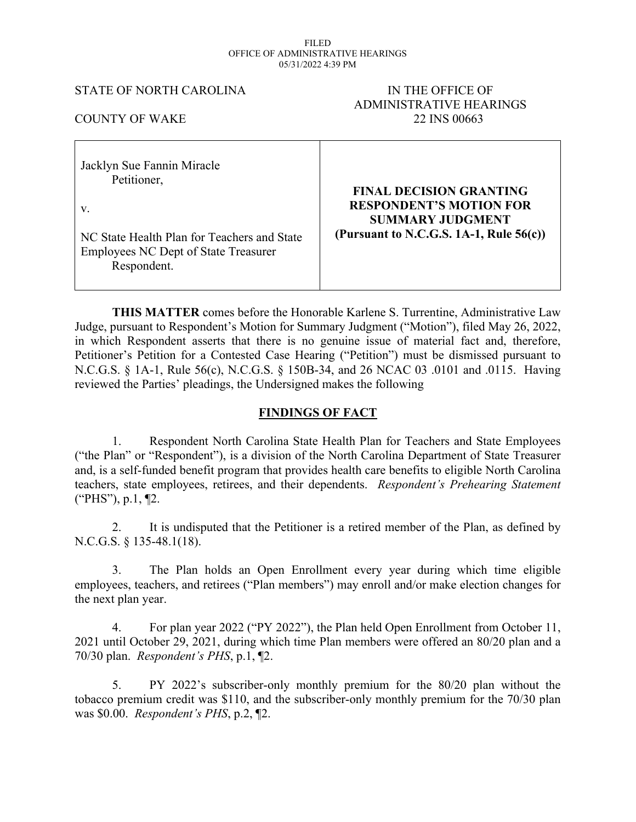#### FILED OFFICE OF ADMINISTRATIVE HEARINGS 05/31/2022 4:39 PM

## STATE OF NORTH CAROLINA IN THE OFFICE OF

# ADMINISTRATIVE HEARINGS 22 INS 00663

| <b>COUNTY OF WAKE</b> |  |
|-----------------------|--|
|                       |  |

| Jacklyn Sue Fannin Miracle                                 | <b>FINAL DECISION GRANTING</b>             |
|------------------------------------------------------------|--------------------------------------------|
| Petitioner,                                                | <b>RESPONDENT'S MOTION FOR</b>             |
| V.                                                         | <b>SUMMARY JUDGMENT</b>                    |
| NC State Health Plan for Teachers and State                | (Pursuant to N.C.G.S. 1A-1, Rule $56(c)$ ) |
| <b>Employees NC Dept of State Treasurer</b><br>Respondent. |                                            |

**THIS MATTER** comes before the Honorable Karlene S. Turrentine, Administrative Law Judge, pursuant to Respondent's Motion for Summary Judgment ("Motion"), filed May 26, 2022, in which Respondent asserts that there is no genuine issue of material fact and, therefore, Petitioner's Petition for a Contested Case Hearing ("Petition") must be dismissed pursuant to N.C.G.S. § 1A-1, Rule 56(c), N.C.G.S. § 150B-34, and 26 NCAC 03 .0101 and .0115. Having reviewed the Parties' pleadings, the Undersigned makes the following

## **FINDINGS OF FACT**

1. Respondent North Carolina State Health Plan for Teachers and State Employees ("the Plan" or "Respondent"), is a division of the North Carolina Department of State Treasurer and, is a self-funded benefit program that provides health care benefits to eligible North Carolina teachers, state employees, retirees, and their dependents. *Respondent's Prehearing Statement* ("PHS"), p.1, ¶2.

2. It is undisputed that the Petitioner is a retired member of the Plan, as defined by N.C.G.S. § 135-48.1(18).

3. The Plan holds an Open Enrollment every year during which time eligible employees, teachers, and retirees ("Plan members") may enroll and/or make election changes for the next plan year.

4. For plan year 2022 ("PY 2022"), the Plan held Open Enrollment from October 11, 2021 until October 29, 2021, during which time Plan members were offered an 80/20 plan and a 70/30 plan. *Respondent's PHS*, p.1, ¶2.

5. PY 2022's subscriber-only monthly premium for the 80/20 plan without the tobacco premium credit was \$110, and the subscriber-only monthly premium for the 70/30 plan was \$0.00. *Respondent's PHS*, p.2, ¶2.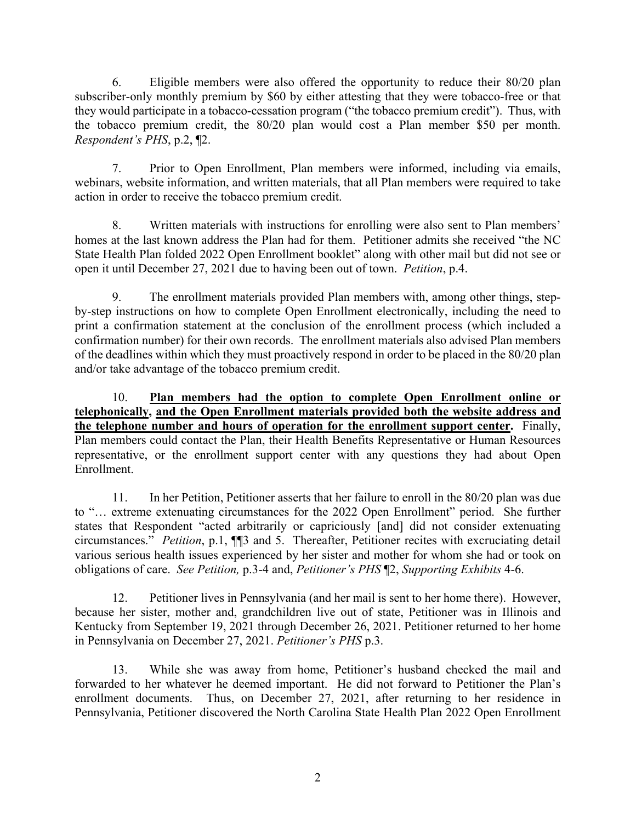6. Eligible members were also offered the opportunity to reduce their 80/20 plan subscriber-only monthly premium by \$60 by either attesting that they were tobacco-free or that they would participate in a tobacco-cessation program ("the tobacco premium credit"). Thus, with the tobacco premium credit, the 80/20 plan would cost a Plan member \$50 per month. *Respondent's PHS*, p.2, ¶2.

7. Prior to Open Enrollment, Plan members were informed, including via emails, webinars, website information, and written materials, that all Plan members were required to take action in order to receive the tobacco premium credit.

8. Written materials with instructions for enrolling were also sent to Plan members' homes at the last known address the Plan had for them. Petitioner admits she received "the NC State Health Plan folded 2022 Open Enrollment booklet" along with other mail but did not see or open it until December 27, 2021 due to having been out of town. *Petition*, p.4.

9. The enrollment materials provided Plan members with, among other things, stepby-step instructions on how to complete Open Enrollment electronically, including the need to print a confirmation statement at the conclusion of the enrollment process (which included a confirmation number) for their own records. The enrollment materials also advised Plan members of the deadlines within which they must proactively respond in order to be placed in the 80/20 plan and/or take advantage of the tobacco premium credit.

10. **Plan members had the option to complete Open Enrollment online or telephonically, and the Open Enrollment materials provided both the website address and the telephone number and hours of operation for the enrollment support center.** Finally, Plan members could contact the Plan, their Health Benefits Representative or Human Resources representative, or the enrollment support center with any questions they had about Open Enrollment.

11. In her Petition, Petitioner asserts that her failure to enroll in the 80/20 plan was due to "… extreme extenuating circumstances for the 2022 Open Enrollment" period. She further states that Respondent "acted arbitrarily or capriciously [and] did not consider extenuating circumstances." *Petition*, p.1, ¶¶3 and 5. Thereafter, Petitioner recites with excruciating detail various serious health issues experienced by her sister and mother for whom she had or took on obligations of care. *See Petition,* p.3-4 and, *Petitioner's PHS* ¶2, *Supporting Exhibits* 4-6.

12. Petitioner lives in Pennsylvania (and her mail is sent to her home there). However, because her sister, mother and, grandchildren live out of state, Petitioner was in Illinois and Kentucky from September 19, 2021 through December 26, 2021. Petitioner returned to her home in Pennsylvania on December 27, 2021. *Petitioner's PHS* p.3.

13. While she was away from home, Petitioner's husband checked the mail and forwarded to her whatever he deemed important. He did not forward to Petitioner the Plan's enrollment documents. Thus, on December 27, 2021, after returning to her residence in Pennsylvania, Petitioner discovered the North Carolina State Health Plan 2022 Open Enrollment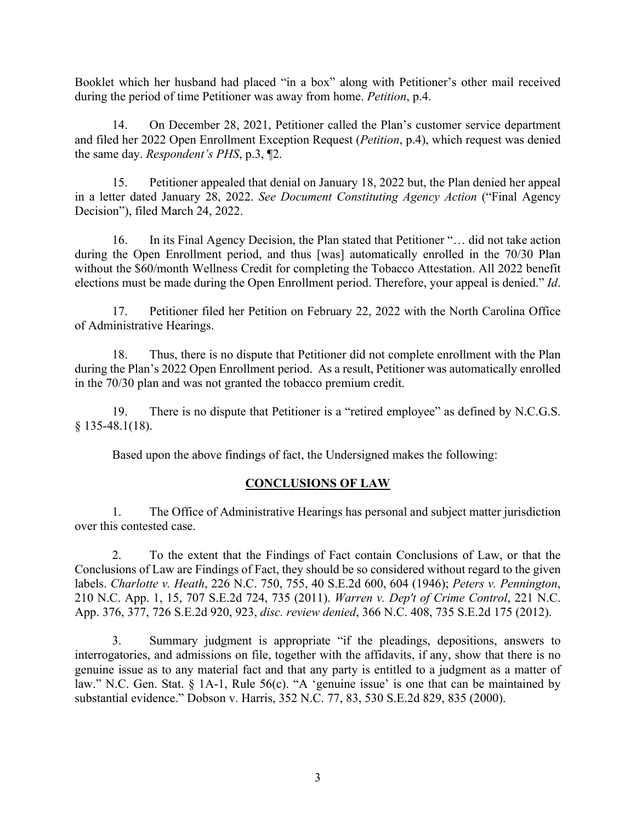Booklet which her husband had placed "in a box" along with Petitioner's other mail received during the period of time Petitioner was away from home. *Petition*, p.4.

14. On December 28, 2021, Petitioner called the Plan's customer service department and filed her 2022 Open Enrollment Exception Request (*Petition*, p.4), which request was denied the same day. *Respondent's PHS*, p.3, ¶2.

15. Petitioner appealed that denial on January 18, 2022 but, the Plan denied her appeal in a letter dated January 28, 2022. *See Document Constituting Agency Action* ("Final Agency Decision"), filed March 24, 2022.

16. In its Final Agency Decision, the Plan stated that Petitioner "… did not take action during the Open Enrollment period, and thus [was] automatically enrolled in the 70/30 Plan without the \$60/month Wellness Credit for completing the Tobacco Attestation. All 2022 benefit elections must be made during the Open Enrollment period. Therefore, your appeal is denied." *Id*.

17. Petitioner filed her Petition on February 22, 2022 with the North Carolina Office of Administrative Hearings.

18. Thus, there is no dispute that Petitioner did not complete enrollment with the Plan during the Plan's 2022 Open Enrollment period. As a result, Petitioner was automatically enrolled in the 70/30 plan and was not granted the tobacco premium credit.

19. There is no dispute that Petitioner is a "retired employee" as defined by N.C.G.S. § 135-48.1(18).

Based upon the above findings of fact, the Undersigned makes the following:

## **CONCLUSIONS OF LAW**

1. The Office of Administrative Hearings has personal and subject matter jurisdiction over this contested case.

2. To the extent that the Findings of Fact contain Conclusions of Law, or that the Conclusions of Law are Findings of Fact, they should be so considered without regard to the given labels. *Charlotte v. Heath*, 226 N.C. 750, 755, 40 S.E.2d 600, 604 (1946); *Peters v. Pennington*, 210 N.C. App. 1, 15, 707 S.E.2d 724, 735 (2011). *Warren v. Dep't of Crime Control*, 221 N.C. App. 376, 377, 726 S.E.2d 920, 923, *disc. review denied*, 366 N.C. 408, 735 S.E.2d 175 (2012).

3. Summary judgment is appropriate "if the pleadings, depositions, answers to interrogatories, and admissions on file, together with the affidavits, if any, show that there is no genuine issue as to any material fact and that any party is entitled to a judgment as a matter of law." N.C. Gen. Stat. § 1A-1, Rule 56(c). "A 'genuine issue' is one that can be maintained by substantial evidence." Dobson v. Harris, 352 N.C. 77, 83, 530 S.E.2d 829, 835 (2000).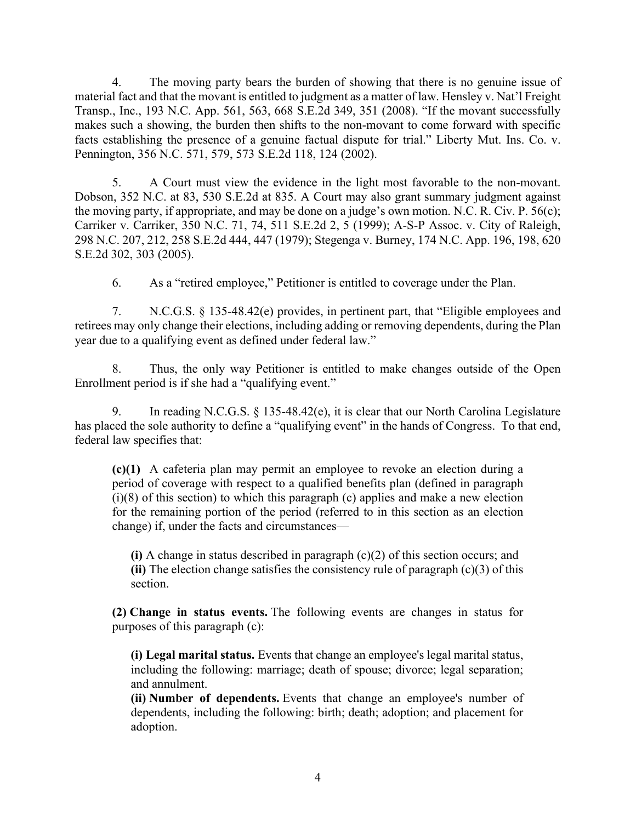4. The moving party bears the burden of showing that there is no genuine issue of material fact and that the movant is entitled to judgment as a matter of law. Hensley v. Nat'l Freight Transp., Inc., 193 N.C. App. 561, 563, 668 S.E.2d 349, 351 (2008). "If the movant successfully makes such a showing, the burden then shifts to the non-movant to come forward with specific facts establishing the presence of a genuine factual dispute for trial." Liberty Mut. Ins. Co. v. Pennington, 356 N.C. 571, 579, 573 S.E.2d 118, 124 (2002).

5. A Court must view the evidence in the light most favorable to the non-movant. Dobson, 352 N.C. at 83, 530 S.E.2d at 835. A Court may also grant summary judgment against the moving party, if appropriate, and may be done on a judge's own motion. N.C. R. Civ. P. 56(c); Carriker v. Carriker, 350 N.C. 71, 74, 511 S.E.2d 2, 5 (1999); A-S-P Assoc. v. City of Raleigh, 298 N.C. 207, 212, 258 S.E.2d 444, 447 (1979); Stegenga v. Burney, 174 N.C. App. 196, 198, 620 S.E.2d 302, 303 (2005).

6. As a "retired employee," Petitioner is entitled to coverage under the Plan.

7. N.C.G.S. § 135-48.42(e) provides, in pertinent part, that "Eligible employees and retirees may only change their elections, including adding or removing dependents, during the Plan year due to a qualifying event as defined under federal law."

8. Thus, the only way Petitioner is entitled to make changes outside of the Open Enrollment period is if she had a "qualifying event."

9. In reading N.C.G.S. § 135-48.42(e), it is clear that our North Carolina Legislature has placed the sole authority to define a "qualifying event" in the hands of Congress. To that end, federal law specifies that:

**(c)(1)** A cafeteria plan may permit an employee to revoke an election during a period of coverage with respect to a qualified benefits plan (defined in paragraph  $(i)(8)$  of this section) to which this paragraph (c) applies and make a new election for the remaining portion of the period (referred to in this section as an election change) if, under the facts and circumstances—

**(i)** A change in status described in paragraph (c)(2) of this section occurs; and **(ii)** The election change satisfies the consistency rule of paragraph (c)(3) of this section.

**(2) Change in status events.** The following events are changes in status for purposes of this paragraph (c):

**(i) Legal marital status.** Events that change an employee's legal marital status, including the following: marriage; death of spouse; divorce; legal separation; and annulment.

**(ii) Number of dependents.** Events that change an employee's number of dependents, including the following: birth; death; adoption; and placement for adoption.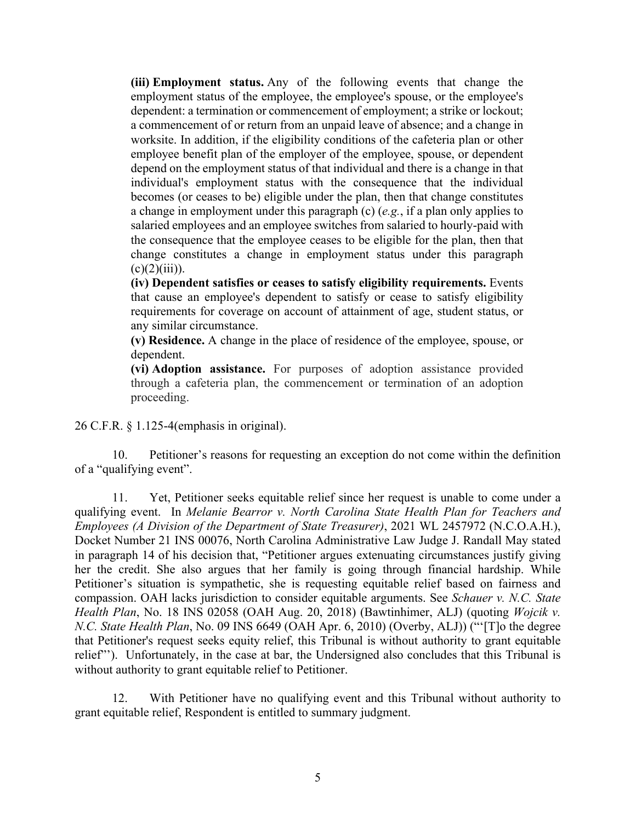**(iii) Employment status.** Any of the following events that change the employment status of the employee, the employee's spouse, or the employee's dependent: a termination or commencement of employment; a strike or lockout; a commencement of or return from an unpaid leave of absence; and a change in worksite. In addition, if the eligibility conditions of the cafeteria plan or other employee benefit plan of the employer of the employee, spouse, or dependent depend on the employment status of that individual and there is a change in that individual's employment status with the consequence that the individual becomes (or ceases to be) eligible under the plan, then that change constitutes a change in employment under this paragraph (c) (*e.g.*, if a plan only applies to salaried employees and an employee switches from salaried to hourly-paid with the consequence that the employee ceases to be eligible for the plan, then that change constitutes a change in employment status under this paragraph  $(c)(2)(iii)$ ).

**(iv) Dependent satisfies or ceases to satisfy eligibility requirements.** Events that cause an employee's dependent to satisfy or cease to satisfy eligibility requirements for coverage on account of attainment of age, student status, or any similar circumstance.

**(v) Residence.** A change in the place of residence of the employee, spouse, or dependent.

**(vi) Adoption assistance.** For purposes of adoption assistance provided through a cafeteria plan, the commencement or termination of an adoption proceeding.

26 C.F.R. § 1.125-4(emphasis in original).

10. Petitioner's reasons for requesting an exception do not come within the definition of a "qualifying event".

11. Yet, Petitioner seeks equitable relief since her request is unable to come under a qualifying event. In *Melanie Bearror v. North Carolina State Health Plan for Teachers and Employees (A Division of the Department of State Treasurer)*, 2021 WL 2457972 (N.C.O.A.H.), Docket Number 21 INS 00076, North Carolina Administrative Law Judge J. Randall May stated in paragraph 14 of his decision that, "Petitioner argues extenuating circumstances justify giving her the credit. She also argues that her family is going through financial hardship. While Petitioner's situation is sympathetic, she is requesting equitable relief based on fairness and compassion. OAH lacks jurisdiction to consider equitable arguments. See *Schauer v. N.C. State Health Plan*, No. 18 INS 02058 (OAH Aug. 20, 2018) (Bawtinhimer, ALJ) (quoting *Wojcik v. N.C. State Health Plan*, No. 09 INS 6649 (OAH Apr. 6, 2010) (Overby, ALJ)) ("'[T]o the degree that Petitioner's request seeks equity relief, this Tribunal is without authority to grant equitable relief"'). Unfortunately, in the case at bar, the Undersigned also concludes that this Tribunal is without authority to grant equitable relief to Petitioner.

12. With Petitioner have no qualifying event and this Tribunal without authority to grant equitable relief, Respondent is entitled to summary judgment.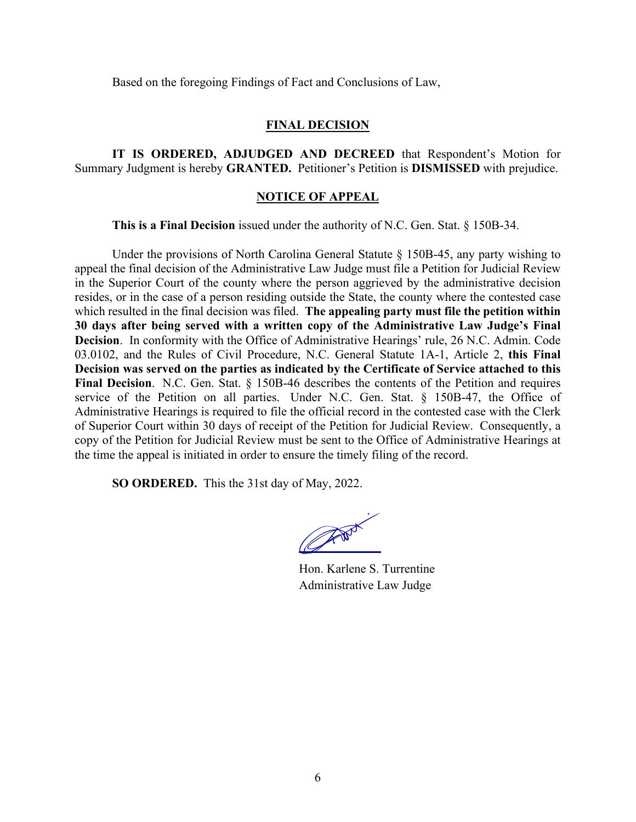Based on the foregoing Findings of Fact and Conclusions of Law,

## **FINAL DECISION**

**IT IS ORDERED, ADJUDGED AND DECREED** that Respondent's Motion for Summary Judgment is hereby **GRANTED.** Petitioner's Petition is **DISMISSED** with prejudice.

## **NOTICE OF APPEAL**

**This is a Final Decision** issued under the authority of N.C. Gen. Stat. § 150B-34.

Under the provisions of North Carolina General Statute  $\S$  150B-45, any party wishing to appeal the final decision of the Administrative Law Judge must file a Petition for Judicial Review in the Superior Court of the county where the person aggrieved by the administrative decision resides, or in the case of a person residing outside the State, the county where the contested case which resulted in the final decision was filed. **The appealing party must file the petition within 30 days after being served with a written copy of the Administrative Law Judge's Final Decision**. In conformity with the Office of Administrative Hearings' rule, 26 N.C. Admin. Code 03.0102, and the Rules of Civil Procedure, N.C. General Statute 1A-1, Article 2, **this Final Decision was served on the parties as indicated by the Certificate of Service attached to this Final Decision**. N.C. Gen. Stat. § 150B-46 describes the contents of the Petition and requires service of the Petition on all parties. Under N.C. Gen. Stat. § 150B-47, the Office of Administrative Hearings is required to file the official record in the contested case with the Clerk of Superior Court within 30 days of receipt of the Petition for Judicial Review. Consequently, a copy of the Petition for Judicial Review must be sent to the Office of Administrative Hearings at the time the appeal is initiated in order to ensure the timely filing of the record.

**SO ORDERED.** This the 31st day of May, 2022.

CANNY K

Hon. Karlene S. Turrentine Administrative Law Judge